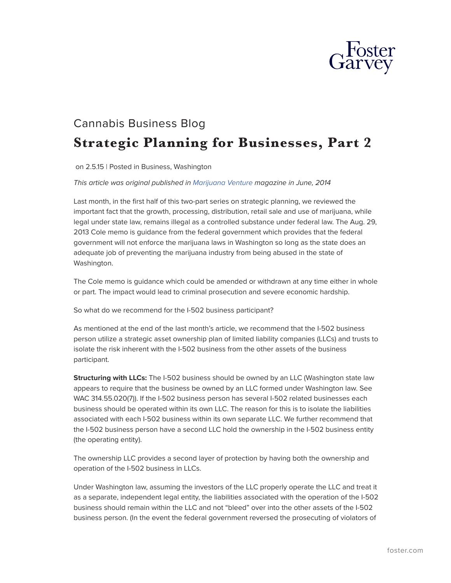

## Cannabis Business Blog **Strategic Planning for Businesses, Part 2**

on 2.5.15 | Posted in Business, Washington

## *This article was original published in [Marijuana Venture](http://www.marijuanaventure.com/strategic-planning-businesses-part-ii/#more-1145) magazine in June, 2014*

Last month, in the first half of this two-part series on strategic planning, we reviewed the important fact that the growth, processing, distribution, retail sale and use of marijuana, while legal under state law, remains illegal as a controlled substance under federal law. The Aug. 29, 2013 Cole memo is guidance from the federal government which provides that the federal government will not enforce the marijuana laws in Washington so long as the state does an adequate job of preventing the marijuana industry from being abused in the state of Washington.

The Cole memo is guidance which could be amended or withdrawn at any time either in whole or part. The impact would lead to criminal prosecution and severe economic hardship.

So what do we recommend for the I-502 business participant?

As mentioned at the end of the last month's article, we recommend that the I-502 business person utilize a strategic asset ownership plan of limited liability companies (LLCs) and trusts to isolate the risk inherent with the I-502 business from the other assets of the business participant.

**Structuring with LLCs:** The I-502 business should be owned by an LLC (Washington state law appears to require that the business be owned by an LLC formed under Washington law. See WAC 314.55.020(7)). If the I-502 business person has several I-502 related businesses each business should be operated within its own LLC. The reason for this is to isolate the liabilities associated with each I-502 business within its own separate LLC. We further recommend that the I-502 business person have a second LLC hold the ownership in the I-502 business entity (the operating entity).

The ownership LLC provides a second layer of protection by having both the ownership and operation of the I-502 business in LLCs.

Under Washington law, assuming the investors of the LLC properly operate the LLC and treat it as a separate, independent legal entity, the liabilities associated with the operation of the I-502 business should remain within the LLC and not "bleed" over into the other assets of the I-502 business person. (In the event the federal government reversed the prosecuting of violators of